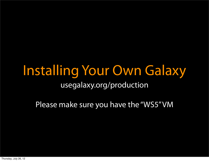#### Installing Your Own Galaxy usegalaxy.org/production

Please make sure you have the "WS5" VM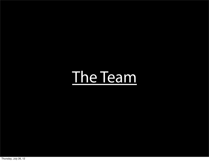# [The Team](http://wiki.g2.bx.psu.edu/Galaxy%20Team)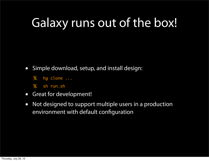#### Galaxy runs out of the box!

- Simple download, setup, and install design:
	- % hg clone ...
	- % sh run.sh
- Great for development!
- Not designed to support multiple users in a production environment with default configuration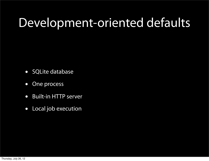#### Development-oriented defaults

- SQLite database
- One process
- Built-in HTTP server
- Local job execution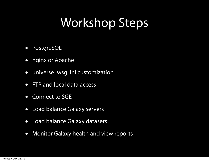### Workshop Steps

- PostgreSQL
- nginx or Apache
- universe\_wsgi.ini customization
- FTP and local data access
- Connect to SGE
- Load balance Galaxy servers
- Load balance Galaxy datasets
- Monitor Galaxy health and view reports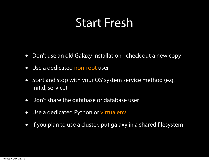#### Start Fresh

- Don't use an old Galaxy installation check out a new copy
- Use a dedicated non-root user
- Start and stop with your OS' system service method (e.g. init.d, service)
- Don't share the database or database user
- Use a dedicated Python or virtualenv
- If you plan to use a cluster, put galaxy in a shared filesystem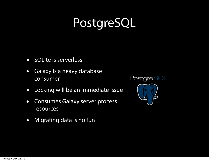## PostgreSQL

- SQLite is serverless
- Galaxy is a heavy database consumer
- Locking will be an immediate issue
- Consumes Galaxy server process resources
- Migrating data is no fun

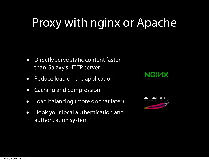#### Proxy with nginx or Apache

- Directly serve static content faster than Galaxy's HTTP server
- Reduce load on the application
- Caching and compression
- Load balancing (more on that later)
- Hook your local authentication and authorization system



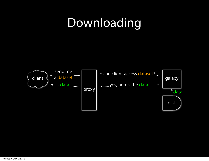### Downloading

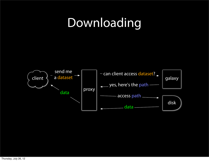### Downloading

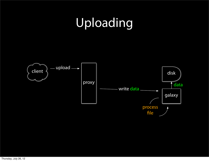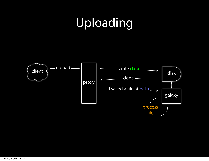## Uploading

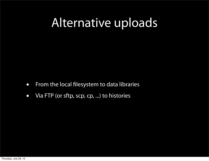#### Alternative uploads

- From the local filesystem to data libraries
- Via FTP (or sftp, scp, cp, ...) to histories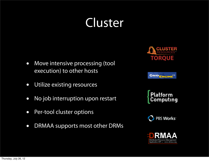#### Cluster

- Move intensive processing (tool execution) to other hosts
- Utilize existing resources
- No job interruption upon restart
- Per-tool cluster options
- DRMAA supports most other DRMs









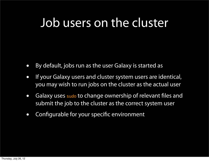#### Job users on the cluster

- By default, jobs run as the user Galaxy is started as
- If your Galaxy users and cluster system users are identical, you may wish to run jobs on the cluster as the actual user
- Galaxy uses sudo to change ownership of relevant files and submit the job to the cluster as the correct system user
- Configurable for your specific environment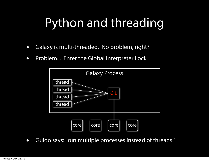## Python and threading

- Galaxy is multi-threaded. No problem, right?
- Problem... Enter the Global Interpreter Lock



• Guido says: "run multiple processes instead of threads!"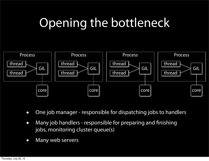## Opening the bottleneck



- One job manager responsible for dispatching jobs to handlers
- Many job handlers responsible for preparing and finishing jobs, monitoring cluster queue(s)
- Many web servers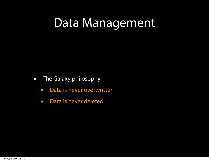- The Galaxy philosophy
	- Data is never overwritten
	- Data is never deleted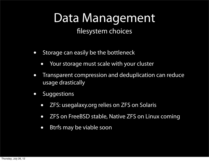filesystem choices

- Storage can easily be the bottleneck
	- Your storage must scale with your cluster
- Transparent compression and deduplication can reduce usage drastically
- Suggestions
	- ZFS: usegalaxy.org relies on ZFS on Solaris
	- ZFS on FreeBSD stable, Native ZFS on Linux coming
	- Btrfs may be viable soon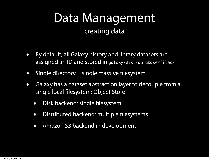#### creating data

- By default, all Galaxy history and library datasets are assigned an ID and stored in galaxy-dist/database/files/
- Single directory  $=$  single massive filesystem
- Galaxy has a dataset abstraction layer to decouple from a single local filesystem: Object Store
	- Disk backend: single filesystem
	- Distributed backend: multiple filesystems
	- Amazon S3 backend in development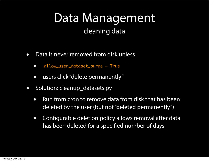#### cleaning data

- Data is never removed from disk unless
	- allow\_user\_dataset\_purge = True
	- users click "delete permanently"
- Solution: cleanup\_datasets.py
	- Run from cron to remove data from disk that has been deleted by the user (but not "deleted permanently")
	- Configurable deletion policy allows removal after data has been deleted for a specified number of days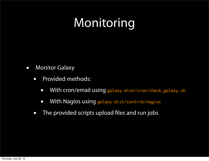## Monitoring

- Monitor Galaxy
	- Provided methods:
		- With cron/email using galaxy-dist/cron/check\_galaxy.sh
		- With Nagios using galaxy-dist/contrib/nagios
	- The provided scripts upload files and run jobs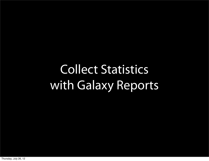## Collect Statistics with Galaxy Reports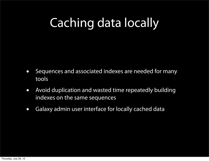## Caching data locally

- Sequences and associated indexes are needed for many tools
- Avoid duplication and wasted time repeatedly building indexes on the same sequences
- Galaxy admin user interface for locally cached data